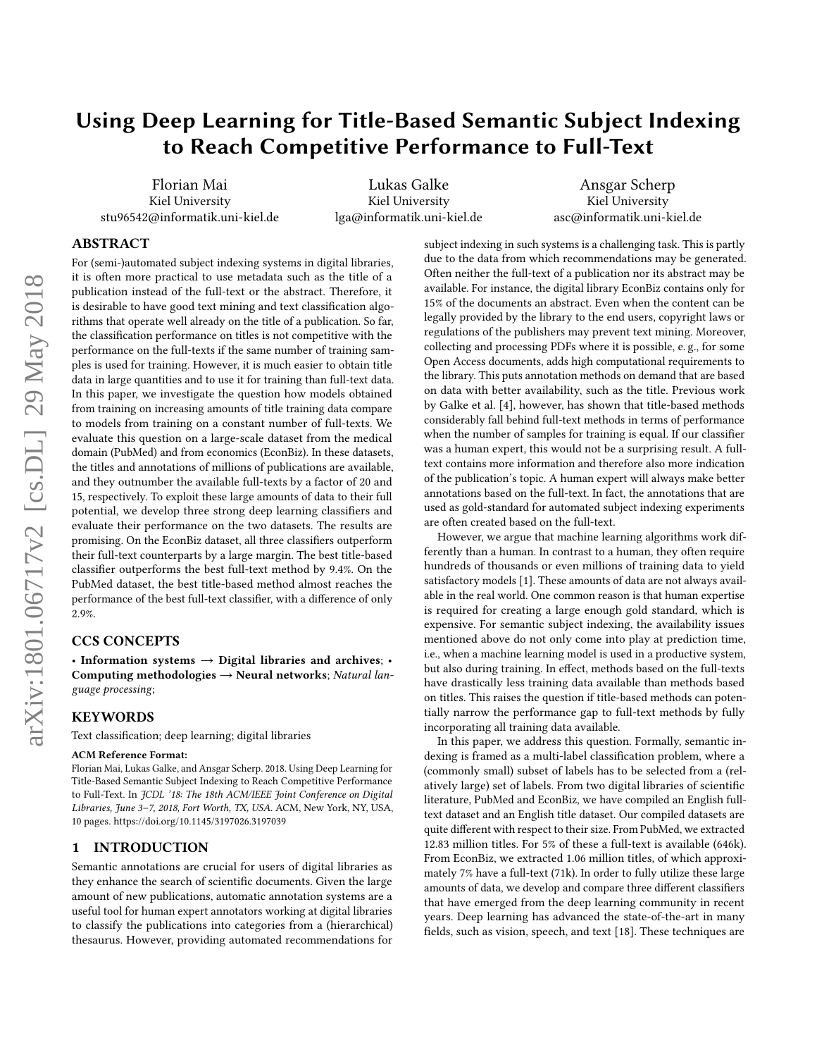# Using Deep Learning for Title-Based Semantic Subject Indexing to Reach Competitive Performance to Full-Text

Florian Mai Kiel University stu96542@informatik.uni-kiel.de

Lukas Galke Kiel University lga@informatik.uni-kiel.de

Ansgar Scherp Kiel University asc@informatik.uni-kiel.de

# ABSTRACT

For (semi-)automated subject indexing systems in digital libraries, it is often more practical to use metadata such as the title of a publication instead of the full-text or the abstract. Therefore, it is desirable to have good text mining and text classification algorithms that operate well already on the title of a publication. So far, the classification performance on titles is not competitive with the performance on the full-texts if the same number of training samples is used for training. However, it is much easier to obtain title data in large quantities and to use it for training than full-text data. In this paper, we investigate the question how models obtained from training on increasing amounts of title training data compare to models from training on a constant number of full-texts. We evaluate this question on a large-scale dataset from the medical domain (PubMed) and from economics (EconBiz). In these datasets, the titles and annotations of millions of publications are available, and they outnumber the available full-texts by a factor of 20 and 15, respectively. To exploit these large amounts of data to their full potential, we develop three strong deep learning classifiers and evaluate their performance on the two datasets. The results are promising. On the EconBiz dataset, all three classifiers outperform their full-text counterparts by a large margin. The best title-based classifier outperforms the best full-text method by 9.4%. On the PubMed dataset, the best title-based method almost reaches the performance of the best full-text classifier, with a difference of only 2.9%.

# CCS CONCEPTS

• Information systems  $\rightarrow$  Digital libraries and archives; • Computing methodologies  $\rightarrow$  Neural networks; Natural language processing;

# **KEYWORDS**

Text classification; deep learning; digital libraries

#### ACM Reference Format:

Florian Mai, Lukas Galke, and Ansgar Scherp. 2018. Using Deep Learning for Title-Based Semantic Subject Indexing to Reach Competitive Performance to Full-Text. In JCDL '18: The 18th ACM/IEEE Joint Conference on Digital Libraries, June 3–7, 2018, Fort Worth, TX, USA. ACM, New York, NY, USA, [10](#page-9-0) pages.<https://doi.org/10.1145/3197026.3197039>

#### 1 INTRODUCTION

Semantic annotations are crucial for users of digital libraries as they enhance the search of scientific documents. Given the large amount of new publications, automatic annotation systems are a useful tool for human expert annotators working at digital libraries to classify the publications into categories from a (hierarchical) thesaurus. However, providing automated recommendations for

subject indexing in such systems is a challenging task. This is partly due to the data from which recommendations may be generated. Often neither the full-text of a publication nor its abstract may be available. For instance, the digital library EconBiz contains only for 15% of the documents an abstract. Even when the content can be legally provided by the library to the end users, copyright laws or regulations of the publishers may prevent text mining. Moreover, collecting and processing PDFs where it is possible, e. g., for some Open Access documents, adds high computational requirements to the library. This puts annotation methods on demand that are based on data with better availability, such as the title. Previous work by Galke et al. [\[4\]](#page-9-1), however, has shown that title-based methods considerably fall behind full-text methods in terms of performance when the number of samples for training is equal. If our classifier was a human expert, this would not be a surprising result. A fulltext contains more information and therefore also more indication of the publication's topic. A human expert will always make better annotations based on the full-text. In fact, the annotations that are used as gold-standard for automated subject indexing experiments are often created based on the full-text.

However, we argue that machine learning algorithms work differently than a human. In contrast to a human, they often require hundreds of thousands or even millions of training data to yield satisfactory models [\[1\]](#page-9-2). These amounts of data are not always available in the real world. One common reason is that human expertise is required for creating a large enough gold standard, which is expensive. For semantic subject indexing, the availability issues mentioned above do not only come into play at prediction time, i.e., when a machine learning model is used in a productive system, but also during training. In effect, methods based on the full-texts have drastically less training data available than methods based on titles. This raises the question if title-based methods can potentially narrow the performance gap to full-text methods by fully incorporating all training data available.

In this paper, we address this question. Formally, semantic indexing is framed as a multi-label classification problem, where a (commonly small) subset of labels has to be selected from a (relatively large) set of labels. From two digital libraries of scientific literature, PubMed and EconBiz, we have compiled an English fulltext dataset and an English title dataset. Our compiled datasets are quite different with respect to their size. From PubMed, we extracted 12.83 million titles. For 5% of these a full-text is available (646k). From EconBiz, we extracted 1.06 million titles, of which approximately 7% have a full-text (71k). In order to fully utilize these large amounts of data, we develop and compare three different classifiers that have emerged from the deep learning community in recent years. Deep learning has advanced the state-of-the-art in many fields, such as vision, speech, and text [\[18\]](#page-9-3). These techniques are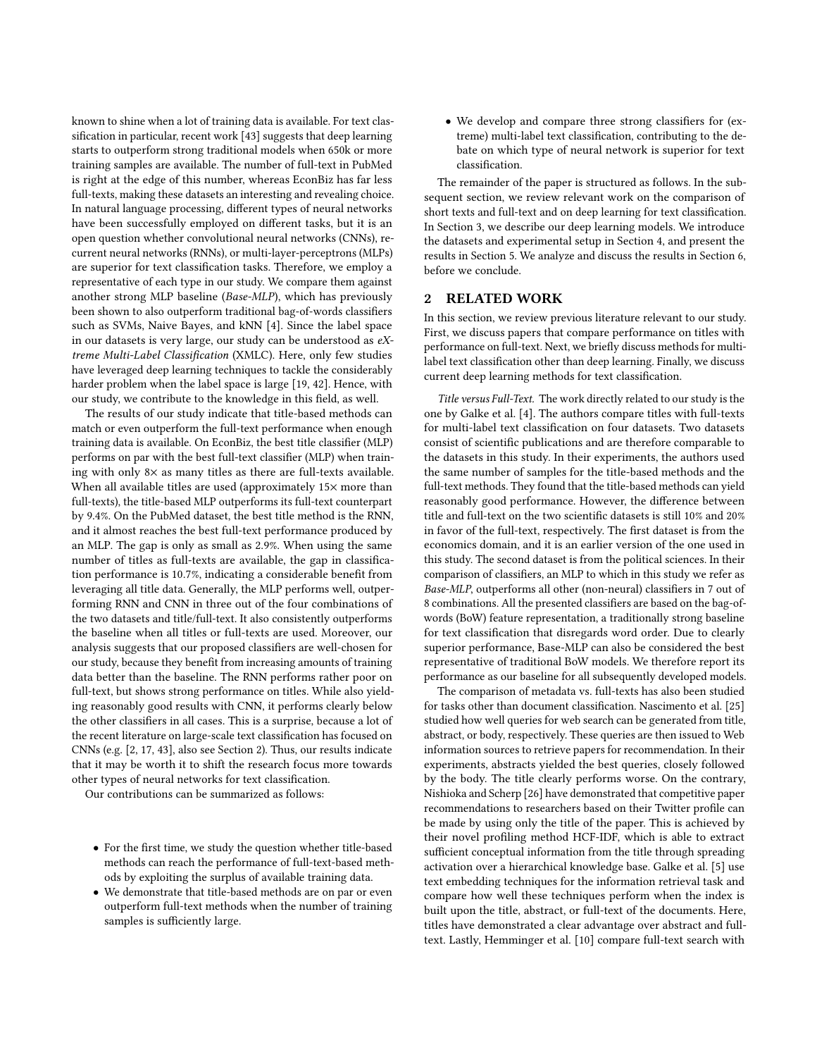known to shine when a lot of training data is available. For text classification in particular, recent work [\[43\]](#page-9-4) suggests that deep learning starts to outperform strong traditional models when 650k or more training samples are available. The number of full-text in PubMed is right at the edge of this number, whereas EconBiz has far less full-texts, making these datasets an interesting and revealing choice. In natural language processing, different types of neural networks have been successfully employed on different tasks, but it is an open question whether convolutional neural networks (CNNs), recurrent neural networks (RNNs), or multi-layer-perceptrons (MLPs) are superior for text classification tasks. Therefore, we employ a representative of each type in our study. We compare them against another strong MLP baseline (Base-MLP), which has previously been shown to also outperform traditional bag-of-words classifiers such as SVMs, Naive Bayes, and kNN [\[4\]](#page-9-1). Since the label space in our datasets is very large, our study can be understood as eXtreme Multi-Label Classification (XMLC). Here, only few studies have leveraged deep learning techniques to tackle the considerably harder problem when the label space is large [\[19,](#page-9-5) [42\]](#page-9-6). Hence, with our study, we contribute to the knowledge in this field, as well.

The results of our study indicate that title-based methods can match or even outperform the full-text performance when enough training data is available. On EconBiz, the best title classifier (MLP) performs on par with the best full-text classifier (MLP) when training with only 8× as many titles as there are full-texts available. When all available titles are used (approximately 15 $\times$  more than full-texts), the title-based MLP outperforms its full-text counterpart by 9.4%. On the PubMed dataset, the best title method is the RNN, and it almost reaches the best full-text performance produced by an MLP. The gap is only as small as 2.9%. When using the same number of titles as full-texts are available, the gap in classification performance is 10.7%, indicating a considerable benefit from leveraging all title data. Generally, the MLP performs well, outperforming RNN and CNN in three out of the four combinations of the two datasets and title/full-text. It also consistently outperforms the baseline when all titles or full-texts are used. Moreover, our analysis suggests that our proposed classifiers are well-chosen for our study, because they benefit from increasing amounts of training data better than the baseline. The RNN performs rather poor on full-text, but shows strong performance on titles. While also yielding reasonably good results with CNN, it performs clearly below the other classifiers in all cases. This is a surprise, because a lot of the recent literature on large-scale text classification has focused on CNNs (e.g. [\[2,](#page-9-7) [17,](#page-9-8) [43\]](#page-9-4), also see Section [2\)](#page-1-0). Thus, our results indicate that it may be worth it to shift the research focus more towards other types of neural networks for text classification.

Our contributions can be summarized as follows:

- For the first time, we study the question whether title-based methods can reach the performance of full-text-based methods by exploiting the surplus of available training data.
- We demonstrate that title-based methods are on par or even outperform full-text methods when the number of training samples is sufficiently large.

• We develop and compare three strong classifiers for (extreme) multi-label text classification, contributing to the debate on which type of neural network is superior for text classification.

The remainder of the paper is structured as follows. In the subsequent section, we review relevant work on the comparison of short texts and full-text and on deep learning for text classification. In Section [3,](#page-2-0) we describe our deep learning models. We introduce the datasets and experimental setup in Section [4,](#page-4-0) and present the results in Section [5.](#page-6-0) We analyze and discuss the results in Section [6,](#page-6-1) before we conclude.

#### <span id="page-1-0"></span>2 RELATED WORK

In this section, we review previous literature relevant to our study. First, we discuss papers that compare performance on titles with performance on full-text. Next, we briefly discuss methods for multilabel text classification other than deep learning. Finally, we discuss current deep learning methods for text classification.

Title versus Full-Text. The work directly related to our study is the one by Galke et al. [\[4\]](#page-9-1). The authors compare titles with full-texts for multi-label text classification on four datasets. Two datasets consist of scientific publications and are therefore comparable to the datasets in this study. In their experiments, the authors used the same number of samples for the title-based methods and the full-text methods. They found that the title-based methods can yield reasonably good performance. However, the difference between title and full-text on the two scientific datasets is still 10% and 20% in favor of the full-text, respectively. The first dataset is from the economics domain, and it is an earlier version of the one used in this study. The second dataset is from the political sciences. In their comparison of classifiers, an MLP to which in this study we refer as Base-MLP, outperforms all other (non-neural) classifiers in 7 out of 8 combinations. All the presented classifiers are based on the bag-ofwords (BoW) feature representation, a traditionally strong baseline for text classification that disregards word order. Due to clearly superior performance, Base-MLP can also be considered the best representative of traditional BoW models. We therefore report its performance as our baseline for all subsequently developed models.

The comparison of metadata vs. full-texts has also been studied for tasks other than document classification. Nascimento et al. [\[25\]](#page-9-9) studied how well queries for web search can be generated from title, abstract, or body, respectively. These queries are then issued to Web information sources to retrieve papers for recommendation. In their experiments, abstracts yielded the best queries, closely followed by the body. The title clearly performs worse. On the contrary, Nishioka and Scherp [\[26\]](#page-9-10) have demonstrated that competitive paper recommendations to researchers based on their Twitter profile can be made by using only the title of the paper. This is achieved by their novel profiling method HCF-IDF, which is able to extract sufficient conceptual information from the title through spreading activation over a hierarchical knowledge base. Galke et al. [\[5\]](#page-9-11) use text embedding techniques for the information retrieval task and compare how well these techniques perform when the index is built upon the title, abstract, or full-text of the documents. Here, titles have demonstrated a clear advantage over abstract and fulltext. Lastly, Hemminger et al. [\[10\]](#page-9-12) compare full-text search with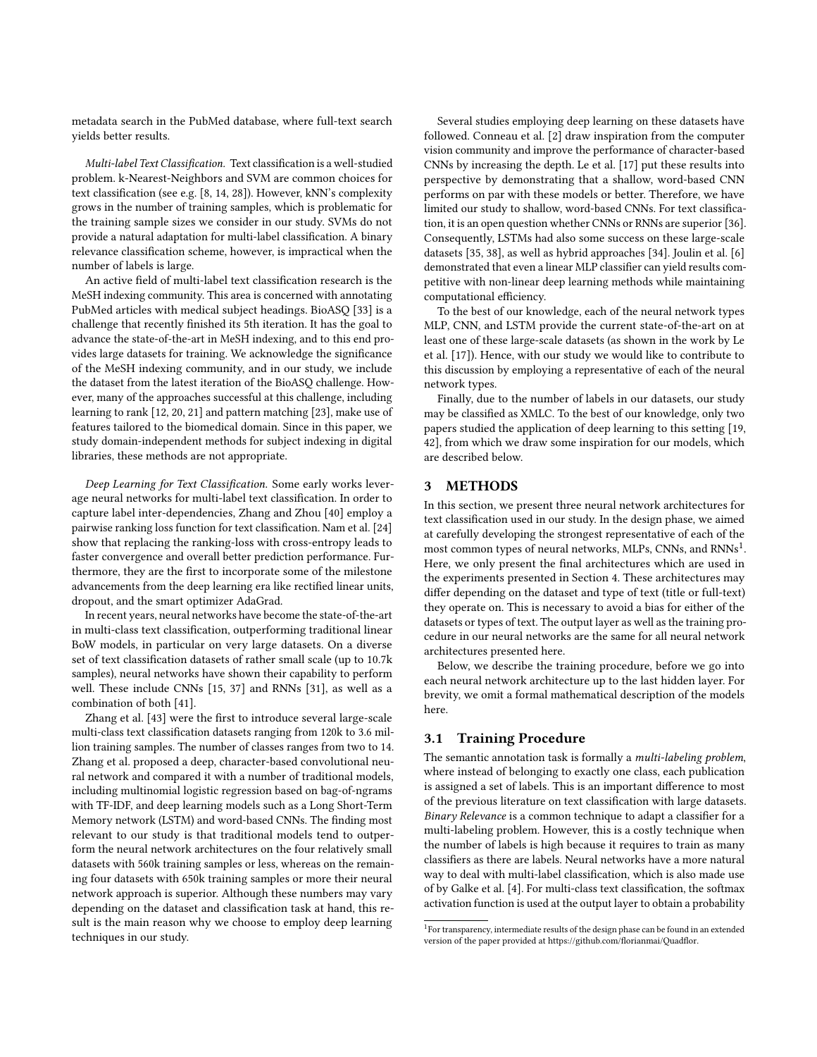metadata search in the PubMed database, where full-text search yields better results.

Multi-label Text Classification. Text classification is a well-studied problem. k-Nearest-Neighbors and SVM are common choices for text classification (see e.g. [\[8,](#page-9-13) [14,](#page-9-14) [28\]](#page-9-15)). However, kNN's complexity grows in the number of training samples, which is problematic for the training sample sizes we consider in our study. SVMs do not provide a natural adaptation for multi-label classification. A binary relevance classification scheme, however, is impractical when the number of labels is large.

An active field of multi-label text classification research is the MeSH indexing community. This area is concerned with annotating PubMed articles with medical subject headings. BioASQ [\[33\]](#page-9-16) is a challenge that recently finished its 5th iteration. It has the goal to advance the state-of-the-art in MeSH indexing, and to this end provides large datasets for training. We acknowledge the significance of the MeSH indexing community, and in our study, we include the dataset from the latest iteration of the BioASQ challenge. However, many of the approaches successful at this challenge, including learning to rank [\[12,](#page-9-17) [20,](#page-9-18) [21\]](#page-9-19) and pattern matching [\[23\]](#page-9-20), make use of features tailored to the biomedical domain. Since in this paper, we study domain-independent methods for subject indexing in digital libraries, these methods are not appropriate.

Deep Learning for Text Classification. Some early works leverage neural networks for multi-label text classification. In order to capture label inter-dependencies, Zhang and Zhou [\[40\]](#page-9-21) employ a pairwise ranking loss function for text classification. Nam et al. [\[24\]](#page-9-22) show that replacing the ranking-loss with cross-entropy leads to faster convergence and overall better prediction performance. Furthermore, they are the first to incorporate some of the milestone advancements from the deep learning era like rectified linear units, dropout, and the smart optimizer AdaGrad.

In recent years, neural networks have become the state-of-the-art in multi-class text classification, outperforming traditional linear BoW models, in particular on very large datasets. On a diverse set of text classification datasets of rather small scale (up to 10.7k samples), neural networks have shown their capability to perform well. These include CNNs [\[15,](#page-9-23) [37\]](#page-9-24) and RNNs [\[31\]](#page-9-25), as well as a combination of both [\[41\]](#page-9-26).

Zhang et al. [\[43\]](#page-9-4) were the first to introduce several large-scale multi-class text classification datasets ranging from 120k to 3.6 million training samples. The number of classes ranges from two to 14. Zhang et al. proposed a deep, character-based convolutional neural network and compared it with a number of traditional models, including multinomial logistic regression based on bag-of-ngrams with TF-IDF, and deep learning models such as a Long Short-Term Memory network (LSTM) and word-based CNNs. The finding most relevant to our study is that traditional models tend to outperform the neural network architectures on the four relatively small datasets with 560k training samples or less, whereas on the remaining four datasets with 650k training samples or more their neural network approach is superior. Although these numbers may vary depending on the dataset and classification task at hand, this result is the main reason why we choose to employ deep learning techniques in our study.

Several studies employing deep learning on these datasets have followed. Conneau et al. [\[2\]](#page-9-7) draw inspiration from the computer vision community and improve the performance of character-based CNNs by increasing the depth. Le et al. [\[17\]](#page-9-8) put these results into perspective by demonstrating that a shallow, word-based CNN performs on par with these models or better. Therefore, we have limited our study to shallow, word-based CNNs. For text classification, it is an open question whether CNNs or RNNs are superior [\[36\]](#page-9-27). Consequently, LSTMs had also some success on these large-scale datasets [\[35,](#page-9-28) [38\]](#page-9-29), as well as hybrid approaches [\[34\]](#page-9-30). Joulin et al. [\[6\]](#page-9-31) demonstrated that even a linear MLP classifier can yield results competitive with non-linear deep learning methods while maintaining computational efficiency.

To the best of our knowledge, each of the neural network types MLP, CNN, and LSTM provide the current state-of-the-art on at least one of these large-scale datasets (as shown in the work by Le et al. [\[17\]](#page-9-8)). Hence, with our study we would like to contribute to this discussion by employing a representative of each of the neural network types.

Finally, due to the number of labels in our datasets, our study may be classified as XMLC. To the best of our knowledge, only two papers studied the application of deep learning to this setting [\[19,](#page-9-5) [42\]](#page-9-6), from which we draw some inspiration for our models, which are described below.

### <span id="page-2-0"></span>3 METHODS

In this section, we present three neural network architectures for text classification used in our study. In the design phase, we aimed at carefully developing the strongest representative of each of the most common types of neural networks, MLPs, CNNs, and  $\text{RNNs}^1$  $\text{RNNs}^1$ . Here, we only present the final architectures which are used in the experiments presented in Section [4.](#page-4-0) These architectures may differ depending on the dataset and type of text (title or full-text) they operate on. This is necessary to avoid a bias for either of the datasets or types of text. The output layer as well as the training procedure in our neural networks are the same for all neural network architectures presented here.

Below, we describe the training procedure, before we go into each neural network architecture up to the last hidden layer. For brevity, we omit a formal mathematical description of the models here.

#### <span id="page-2-2"></span>3.1 Training Procedure

The semantic annotation task is formally a multi-labeling problem, where instead of belonging to exactly one class, each publication is assigned a set of labels. This is an important difference to most of the previous literature on text classification with large datasets. Binary Relevance is a common technique to adapt a classifier for a multi-labeling problem. However, this is a costly technique when the number of labels is high because it requires to train as many classifiers as there are labels. Neural networks have a more natural way to deal with multi-label classification, which is also made use of by Galke et al. [\[4\]](#page-9-1). For multi-class text classification, the softmax activation function is used at the output layer to obtain a probability

<span id="page-2-1"></span> $1$ For transparency, intermediate results of the design phase can be found in an extended version of the paper provided at [https://github.com/florianmai/Quadflor.](https://github.com/florianmai/Quadflor)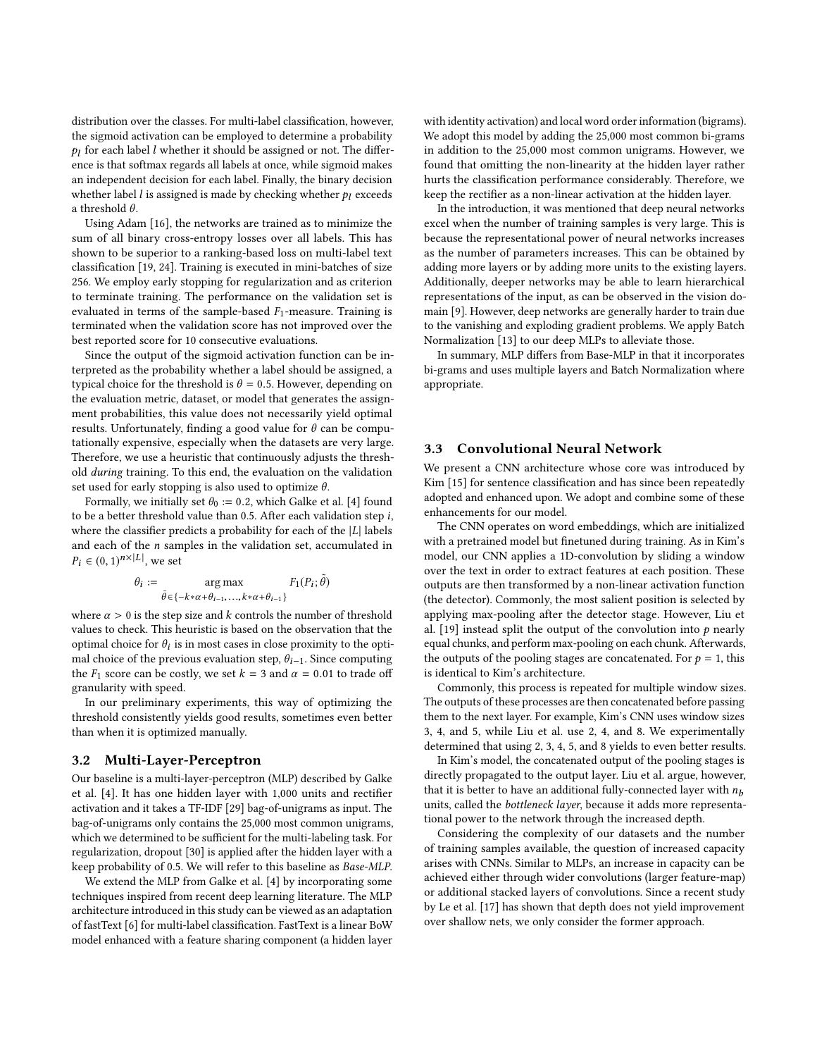distribution over the classes. For multi-label classification, however, the sigmoid activation can be employed to determine a probability ence is that softmax regards all labels at once, while sigmoid makes  $p_l$  for each label l whether it should be assigned or not. The differan independent decision for each label. Finally, the binary decision whether label *l* is assigned is made by checking whether  $p_l$  exceeds a threshold  $\theta$ .

Using Adam [\[16\]](#page-9-32), the networks are trained as to minimize the sum of all binary cross-entropy losses over all labels. This has shown to be superior to a ranking-based loss on multi-label text classification [\[19,](#page-9-5) [24\]](#page-9-22). Training is executed in mini-batches of size 256. We employ early stopping for regularization and as criterion to terminate training. The performance on the validation set is evaluated in terms of the sample-based  $F_1$ -measure. Training is terminated when the validation score has not improved over the best reported score for 10 consecutive evaluations.

Since the output of the sigmoid activation function can be interpreted as the probability whether a label should be assigned, a typical choice for the threshold is  $\theta = 0.5$ . However, depending on the evaluation metric, dataset, or model that generates the assignment probabilities, this value does not necessarily yield optimal results. Unfortunately, finding a good value for  $\theta$  can be computationally expensive, especially when the datasets are very large. Therefore, we use a heuristic that continuously adjusts the threshold during training. To this end, the evaluation on the validation set used for early stopping is also used to optimize  $\theta$ .

Formally, we initially set  $\theta_0 := 0.2$ , which Galke et al. [\[4\]](#page-9-1) found to be a better threshold value than 0.5. After each validation step i, where the classifier predicts a probability for each of the  $|L|$  labels and each of the n samples in the validation set, accumulated in  $P_i \in (0, 1)^{n \times |L|}$ , we set

$$
\theta_i := \underset{\tilde{\theta} \in \{-k * \alpha + \theta_{i-1}, ..., k * \alpha + \theta_{i-1}\}}{\arg \max} F_1(P_i; \tilde{\theta})
$$

where  $\alpha > 0$  is the step size and k controls the number of threshold values to check. This heuristic is based on the observation that the optimal choice for  $\theta_i$  is in most cases in close proximity to the opti-<br>mal choice of the previous evaluation step  $\theta_i$ . Since computing mal choice of the previous evaluation step,  $\theta_{i-1}$ . Since computing the  $F_1$  score can be costly, we set  $k = 3$  and  $\alpha = 0.01$  to trade off granularity with speed.

In our preliminary experiments, this way of optimizing the threshold consistently yields good results, sometimes even better than when it is optimized manually.

#### 3.2 Multi-Layer-Perceptron

Our baseline is a multi-layer-perceptron (MLP) described by Galke et al. [\[4\]](#page-9-1). It has one hidden layer with 1,000 units and rectifier activation and it takes a TF-IDF [\[29\]](#page-9-33) bag-of-unigrams as input. The bag-of-unigrams only contains the 25,000 most common unigrams, which we determined to be sufficient for the multi-labeling task. For regularization, dropout [\[30\]](#page-9-34) is applied after the hidden layer with a keep probability of 0.5. We will refer to this baseline as Base-MLP.

We extend the MLP from Galke et al. [\[4\]](#page-9-1) by incorporating some techniques inspired from recent deep learning literature. The MLP architecture introduced in this study can be viewed as an adaptation of fastText [\[6\]](#page-9-31) for multi-label classification. FastText is a linear BoW model enhanced with a feature sharing component (a hidden layer with identity activation) and local word order information (bigrams). We adopt this model by adding the 25,000 most common bi-grams in addition to the 25,000 most common unigrams. However, we found that omitting the non-linearity at the hidden layer rather hurts the classification performance considerably. Therefore, we keep the rectifier as a non-linear activation at the hidden layer.

In the introduction, it was mentioned that deep neural networks excel when the number of training samples is very large. This is because the representational power of neural networks increases as the number of parameters increases. This can be obtained by adding more layers or by adding more units to the existing layers. Additionally, deeper networks may be able to learn hierarchical representations of the input, as can be observed in the vision domain [\[9\]](#page-9-35). However, deep networks are generally harder to train due to the vanishing and exploding gradient problems. We apply Batch Normalization [\[13\]](#page-9-36) to our deep MLPs to alleviate those.

In summary, MLP differs from Base-MLP in that it incorporates bi-grams and uses multiple layers and Batch Normalization where appropriate.

# 3.3 Convolutional Neural Network

We present a CNN architecture whose core was introduced by Kim [\[15\]](#page-9-23) for sentence classification and has since been repeatedly adopted and enhanced upon. We adopt and combine some of these enhancements for our model.

The CNN operates on word embeddings, which are initialized with a pretrained model but finetuned during training. As in Kim's model, our CNN applies a 1D-convolution by sliding a window over the text in order to extract features at each position. These outputs are then transformed by a non-linear activation function (the detector). Commonly, the most salient position is selected by applying max-pooling after the detector stage. However, Liu et al. [\[19\]](#page-9-5) instead split the output of the convolution into  $p$  nearly equal chunks, and perform max-pooling on each chunk. Afterwards, the outputs of the pooling stages are concatenated. For  $p = 1$ , this is identical to Kim's architecture.

Commonly, this process is repeated for multiple window sizes. The outputs of these processes are then concatenated before passing them to the next layer. For example, Kim's CNN uses window sizes 3, 4, and 5, while Liu et al. use 2, 4, and 8. We experimentally determined that using 2, 3, 4, 5, and 8 yields to even better results.

In Kim's model, the concatenated output of the pooling stages is directly propagated to the output layer. Liu et al. argue, however, that it is better to have an additional fully-connected layer with  $n<sub>b</sub>$ units, called the bottleneck layer, because it adds more representational power to the network through the increased depth.

Considering the complexity of our datasets and the number of training samples available, the question of increased capacity arises with CNNs. Similar to MLPs, an increase in capacity can be achieved either through wider convolutions (larger feature-map) or additional stacked layers of convolutions. Since a recent study by Le et al. [\[17\]](#page-9-8) has shown that depth does not yield improvement over shallow nets, we only consider the former approach.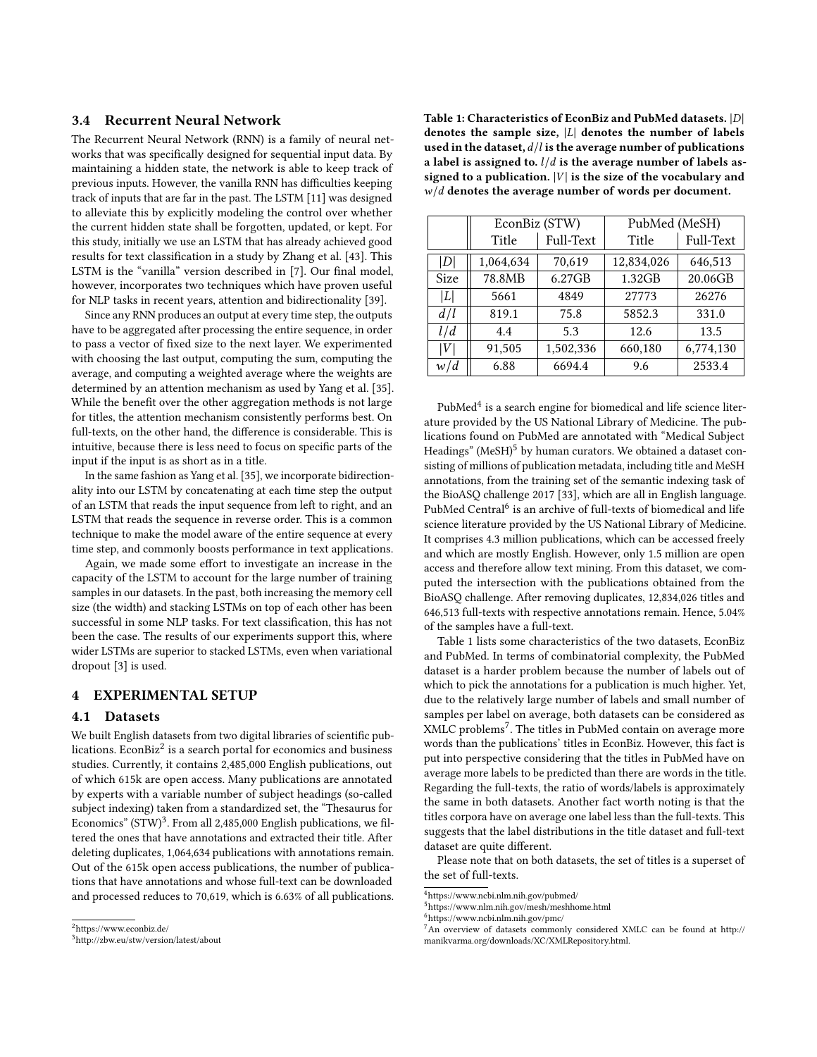### 3.4 Recurrent Neural Network

The Recurrent Neural Network (RNN) is a family of neural networks that was specifically designed for sequential input data. By maintaining a hidden state, the network is able to keep track of previous inputs. However, the vanilla RNN has difficulties keeping track of inputs that are far in the past. The LSTM [\[11\]](#page-9-37) was designed to alleviate this by explicitly modeling the control over whether the current hidden state shall be forgotten, updated, or kept. For this study, initially we use an LSTM that has already achieved good results for text classification in a study by Zhang et al. [\[43\]](#page-9-4). This LSTM is the "vanilla" version described in [\[7\]](#page-9-38). Our final model, however, incorporates two techniques which have proven useful for NLP tasks in recent years, attention and bidirectionality [\[39\]](#page-9-39).

Since any RNN produces an output at every time step, the outputs have to be aggregated after processing the entire sequence, in order to pass a vector of fixed size to the next layer. We experimented with choosing the last output, computing the sum, computing the average, and computing a weighted average where the weights are determined by an attention mechanism as used by Yang et al. [\[35\]](#page-9-28). While the benefit over the other aggregation methods is not large for titles, the attention mechanism consistently performs best. On full-texts, on the other hand, the difference is considerable. This is intuitive, because there is less need to focus on specific parts of the input if the input is as short as in a title.

In the same fashion as Yang et al. [\[35\]](#page-9-28), we incorporate bidirectionality into our LSTM by concatenating at each time step the output of an LSTM that reads the input sequence from left to right, and an LSTM that reads the sequence in reverse order. This is a common technique to make the model aware of the entire sequence at every time step, and commonly boosts performance in text applications.

Again, we made some effort to investigate an increase in the capacity of the LSTM to account for the large number of training samples in our datasets. In the past, both increasing the memory cell size (the width) and stacking LSTMs on top of each other has been successful in some NLP tasks. For text classification, this has not been the case. The results of our experiments support this, where wider LSTMs are superior to stacked LSTMs, even when variational dropout [\[3\]](#page-9-40) is used.

# <span id="page-4-0"></span>4 EXPERIMENTAL SETUP

### 4.1 Datasets

We built English datasets from two digital libraries of scientific publications. EconBiz $^2$  $^2$  is a search portal for economics and business studies. Currently, it contains 2,485,000 English publications, out of which 615k are open access. Many publications are annotated by experts with a variable number of subject headings (so-called subject indexing) taken from a standardized set, the "Thesaurus for Economics"  $\rm (STW)^3.$  $\rm (STW)^3.$  $\rm (STW)^3.$  From all 2,485,000 English publications, we filtered the ones that have annotations and extracted their title. After deleting duplicates, 1,064,634 publications with annotations remain. Out of the 615k open access publications, the number of publications that have annotations and whose full-text can be downloaded and processed reduces to 70,619, which is 6.63% of all publications.

<span id="page-4-6"></span>Table 1: Characteristics of EconBiz and PubMed datasets. <sup>|</sup>D<sup>|</sup> denotes the sample size,  $|L|$  denotes the number of labels used in the dataset,  $d/l$  is the average number of publications a label is assigned to.  $l/d$  is the average number of labels assigned to a publication.  $|V|$  is the size of the vocabulary and  $w/d$  denotes the average number of words per document.

|      | EconBiz (STW) |           | PubMed (MeSH) |           |  |  |  |
|------|---------------|-----------|---------------|-----------|--|--|--|
|      | Title         | Full-Text | Title         | Full-Text |  |  |  |
| D    | 1,064,634     | 70,619    | 12,834,026    | 646,513   |  |  |  |
| Size | 78.8MB        | $6.27$ GB | $1.32$ GB     | 20.06GB   |  |  |  |
| ΙLΙ  | 5661          | 4849      | 27773         | 26276     |  |  |  |
| d/l  | 819.1         | 75.8      | 5852.3        | 331.0     |  |  |  |
| l/d  | 4.4           | 5.3       | 12.6          | 13.5      |  |  |  |
| V    | 91,505        | 1,502,336 | 660,180       | 6,774,130 |  |  |  |
| w/d  | 6.88          | 6694.4    | 9.6           | 2533.4    |  |  |  |

 $\text{PubMed}^4$  $\text{PubMed}^4$  is a search engine for biomedical and life science literature provided by the US National Library of Medicine. The publications found on PubMed are annotated with "Medical Subject Headings" (MeSH)<sup>[5](#page-4-4)</sup> by human curators. We obtained a dataset consisting of millions of publication metadata, including title and MeSH annotations, from the training set of the semantic indexing task of the BioASQ challenge 2017 [\[33\]](#page-9-16), which are all in English language. PubMed Central<sup>[6](#page-4-5)</sup> is an archive of full-texts of biomedical and life science literature provided by the US National Library of Medicine. It comprises 4.3 million publications, which can be accessed freely and which are mostly English. However, only 1.5 million are open access and therefore allow text mining. From this dataset, we computed the intersection with the publications obtained from the BioASQ challenge. After removing duplicates, 12,834,026 titles and 646,513 full-texts with respective annotations remain. Hence, 5.04% of the samples have a full-text.

Table [1](#page-4-6) lists some characteristics of the two datasets, EconBiz and PubMed. In terms of combinatorial complexity, the PubMed dataset is a harder problem because the number of labels out of which to pick the annotations for a publication is much higher. Yet, due to the relatively large number of labels and small number of samples per label on average, both datasets can be considered as XMLC problems<sup>[7](#page-4-7)</sup>. The titles in PubMed contain on average more words than the publications' titles in EconBiz. However, this fact is put into perspective considering that the titles in PubMed have on average more labels to be predicted than there are words in the title. Regarding the full-texts, the ratio of words/labels is approximately the same in both datasets. Another fact worth noting is that the titles corpora have on average one label less than the full-texts. This suggests that the label distributions in the title dataset and full-text dataset are quite different.

Please note that on both datasets, the set of titles is a superset of the set of full-texts.

<span id="page-4-1"></span> $^2$ <https://www.econbiz.de/>

<span id="page-4-2"></span><sup>3</sup><http://zbw.eu/stw/version/latest/about>

<span id="page-4-3"></span><sup>4</sup><https://www.ncbi.nlm.nih.gov/pubmed/>

<span id="page-4-4"></span> $5$ <https://www.nlm.nih.gov/mesh/meshhome.html>

<span id="page-4-5"></span>

<sup>6</sup><https://www.ncbi.nlm.nih.gov/pmc/>

<span id="page-4-7"></span><sup>7</sup>An overview of datasets commonly considered XMLC can be found at [http://](http://manikvarma.org/downloads/XC/XMLRepository.html) [manikvarma.org/downloads/XC/XMLRepository.html.](http://manikvarma.org/downloads/XC/XMLRepository.html)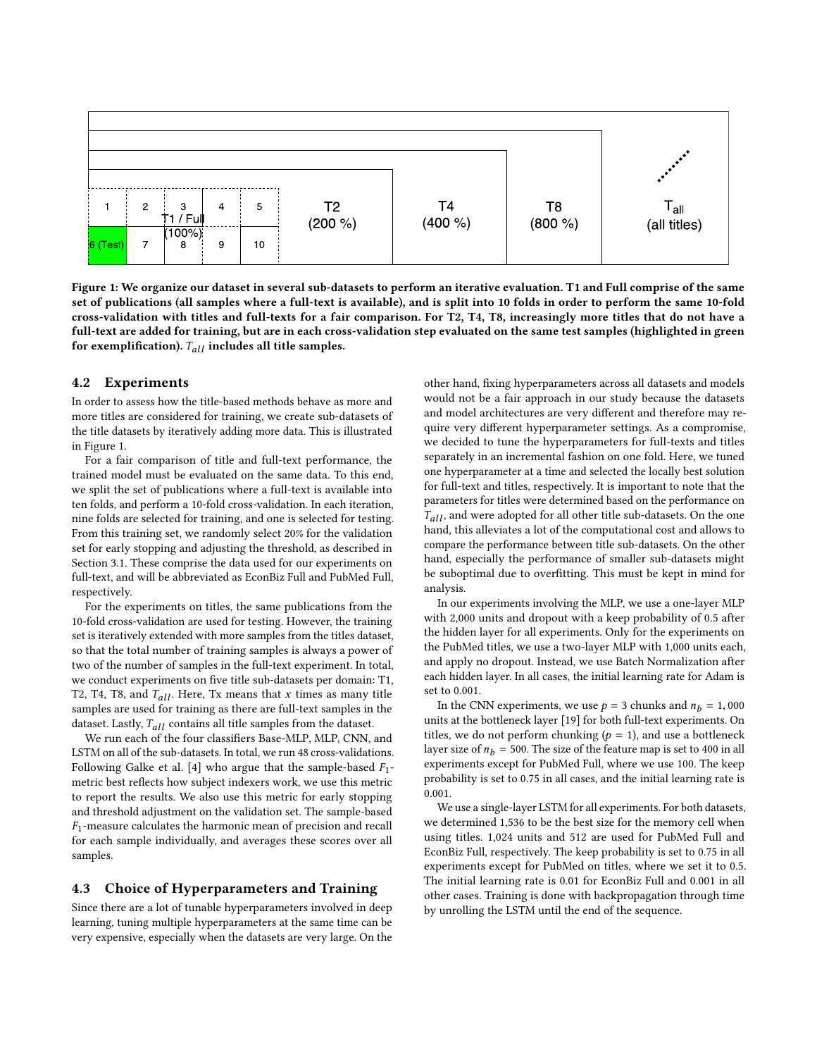<span id="page-5-0"></span>

Figure 1: We organize our dataset in several sub-datasets to perform an iterative evaluation. T1 and Full comprise of the same set of publications (all samples where a full-text is available), and is split into 10 folds in order to perform the same 10-fold cross-validation with titles and full-texts for a fair comparison. For T2, T4, T8, increasingly more titles that do not have a full-text are added for training, but are in each cross-validation step evaluated on the same test samples (highlighted in green for exemplification).  $T_{all}$  includes all title samples.

#### 4.2 Experiments

In order to assess how the title-based methods behave as more and more titles are considered for training, we create sub-datasets of the title datasets by iteratively adding more data. This is illustrated in Figure [1.](#page-5-0)

For a fair comparison of title and full-text performance, the trained model must be evaluated on the same data. To this end, we split the set of publications where a full-text is available into ten folds, and perform a 10-fold cross-validation. In each iteration, nine folds are selected for training, and one is selected for testing. From this training set, we randomly select 20% for the validation set for early stopping and adjusting the threshold, as described in Section [3.1.](#page-2-2) These comprise the data used for our experiments on full-text, and will be abbreviated as EconBiz Full and PubMed Full, respectively.

For the experiments on titles, the same publications from the 10-fold cross-validation are used for testing. However, the training set is iteratively extended with more samples from the titles dataset, so that the total number of training samples is always a power of two of the number of samples in the full-text experiment. In total, we conduct experiments on five title sub-datasets per domain: T1, T2, T4, T8, and  $T_{all}$ . Here, Tx means that x times as many title samples are used for training as there are full-text samples in the dataset. Lastly,  $T_{all}$  contains all title samples from the dataset.

We run each of the four classifiers Base-MLP, MLP, CNN, and LSTM on all of the sub-datasets. In total, we run 48 cross-validations. Following Galke et al. [\[4\]](#page-9-1) who argue that the sample-based  $F_1$ metric best reflects how subject indexers work, we use this metric to report the results. We also use this metric for early stopping and threshold adjustment on the validation set. The sample-based  $F_1$ -measure calculates the harmonic mean of precision and recall for each sample individually, and averages these scores over all samples.

# 4.3 Choice of Hyperparameters and Training

Since there are a lot of tunable hyperparameters involved in deep learning, tuning multiple hyperparameters at the same time can be very expensive, especially when the datasets are very large. On the

other hand, fixing hyperparameters across all datasets and models would not be a fair approach in our study because the datasets and model architectures are very different and therefore may require very different hyperparameter settings. As a compromise, we decided to tune the hyperparameters for full-texts and titles separately in an incremental fashion on one fold. Here, we tuned one hyperparameter at a time and selected the locally best solution for full-text and titles, respectively. It is important to note that the parameters for titles were determined based on the performance on  $T_{all}$ , and were adopted for all other title sub-datasets. On the one hand, this alleviates a lot of the computational cost and allows to compare the performance between title sub-datasets. On the other hand, especially the performance of smaller sub-datasets might be suboptimal due to overfitting. This must be kept in mind for analysis.

In our experiments involving the MLP, we use a one-layer MLP with 2,000 units and dropout with a keep probability of 0.5 after the hidden layer for all experiments. Only for the experiments on the PubMed titles, we use a two-layer MLP with 1,000 units each, and apply no dropout. Instead, we use Batch Normalization after each hidden layer. In all cases, the initial learning rate for Adam is set to 0.001.

In the CNN experiments, we use  $p = 3$  chunks and  $n_b = 1,000$ units at the bottleneck layer [\[19\]](#page-9-5) for both full-text experiments. On titles, we do not perform chunking ( $p = 1$ ), and use a bottleneck layer size of  $n_b = 500$ . The size of the feature map is set to 400 in all experiments except for PubMed Full, where we use 100. The keep probability is set to 0.75 in all cases, and the initial learning rate is 0.001.

We use a single-layer LSTM for all experiments. For both datasets, we determined 1,536 to be the best size for the memory cell when using titles. 1,024 units and 512 are used for PubMed Full and EconBiz Full, respectively. The keep probability is set to 0.75 in all experiments except for PubMed on titles, where we set it to 0.5. The initial learning rate is 0.01 for EconBiz Full and 0.001 in all other cases. Training is done with backpropagation through time by unrolling the LSTM until the end of the sequence.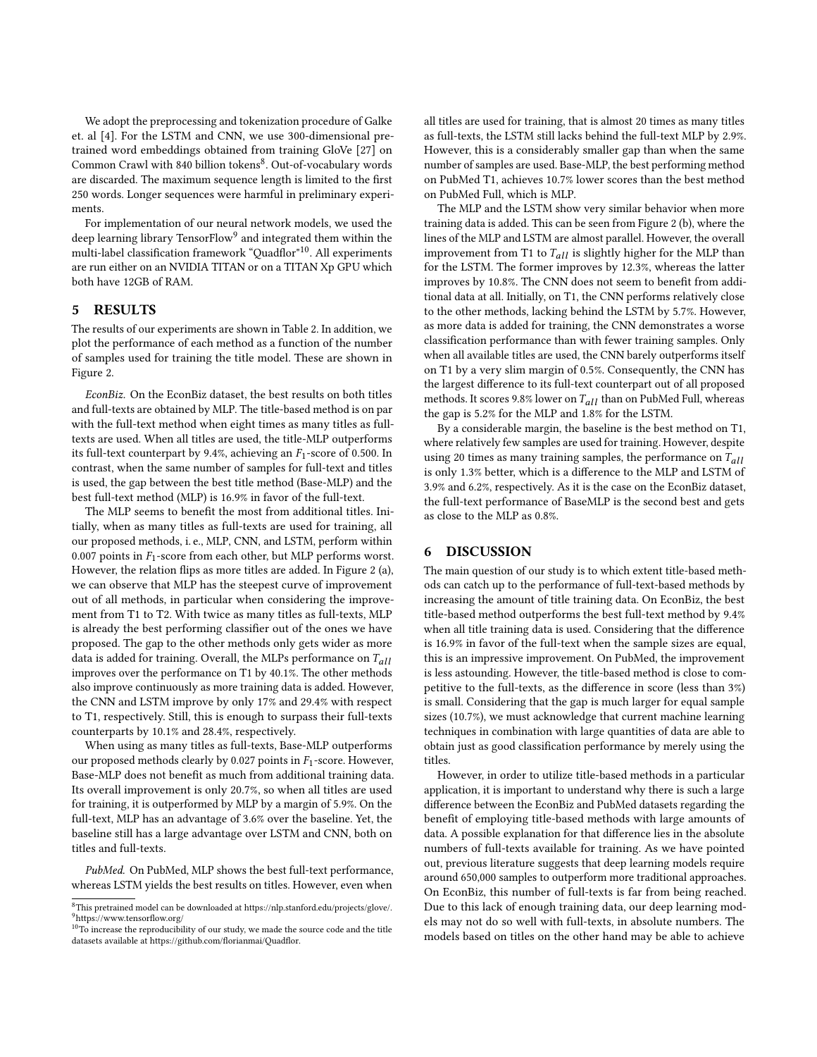We adopt the preprocessing and tokenization procedure of Galke et. al [\[4\]](#page-9-1). For the LSTM and CNN, we use 300-dimensional pretrained word embeddings obtained from training GloVe [\[27\]](#page-9-41) on Common Crawl with [8](#page-6-2)40 billion tokens8. Out-of-vocabulary words are discarded. The maximum sequence length is limited to the first 250 words. Longer sequences were harmful in preliminary experiments.

For implementation of our neural network models, we used the deep learning library Tensor $\mathrm{Flow}^9$  $\mathrm{Flow}^9$  and integrated them within the multi-label classification framework "Quadflor"[10](#page-6-4). All experiments are run either on an NVIDIA TITAN or on a TITAN Xp GPU which both have 12GB of RAM.

#### <span id="page-6-0"></span>5 RESULTS

The results of our experiments are shown in Table [2.](#page-7-0) In addition, we plot the performance of each method as a function of the number of samples used for training the title model. These are shown in Figure [2.](#page-7-1)

EconBiz. On the EconBiz dataset, the best results on both titles and full-texts are obtained by MLP. The title-based method is on par with the full-text method when eight times as many titles as fulltexts are used. When all titles are used, the title-MLP outperforms its full-text counterpart by 9.4%, achieving an  $F_1$ -score of 0.500. In contrast, when the same number of samples for full-text and titles is used, the gap between the best title method (Base-MLP) and the best full-text method (MLP) is 16.9% in favor of the full-text.

The MLP seems to benefit the most from additional titles. Initially, when as many titles as full-texts are used for training, all our proposed methods, i. e., MLP, CNN, and LSTM, perform within 0.007 points in  $F_1$ -score from each other, but MLP performs worst. However, the relation flips as more titles are added. In Figure [2](#page-7-1) (a), we can observe that MLP has the steepest curve of improvement out of all methods, in particular when considering the improvement from T1 to T2. With twice as many titles as full-texts, MLP is already the best performing classifier out of the ones we have proposed. The gap to the other methods only gets wider as more data is added for training. Overall, the MLPs performance on  $T_{all}$ improves over the performance on T1 by 40.1%. The other methods also improve continuously as more training data is added. However, the CNN and LSTM improve by only 17% and 29.4% with respect to T1, respectively. Still, this is enough to surpass their full-texts counterparts by 10.1% and 28.4%, respectively.

When using as many titles as full-texts, Base-MLP outperforms our proposed methods clearly by 0.027 points in  $F_1$ -score. However, Base-MLP does not benefit as much from additional training data. Its overall improvement is only 20.7%, so when all titles are used for training, it is outperformed by MLP by a margin of 5.9%. On the full-text, MLP has an advantage of 3.6% over the baseline. Yet, the baseline still has a large advantage over LSTM and CNN, both on titles and full-texts.

PubMed. On PubMed, MLP shows the best full-text performance, whereas LSTM yields the best results on titles. However, even when all titles are used for training, that is almost 20 times as many titles as full-texts, the LSTM still lacks behind the full-text MLP by 2.9%. However, this is a considerably smaller gap than when the same number of samples are used. Base-MLP, the best performing method on PubMed T1, achieves 10.7% lower scores than the best method on PubMed Full, which is MLP.

The MLP and the LSTM show very similar behavior when more training data is added. This can be seen from Figure [2](#page-7-1) (b), where the lines of the MLP and LSTM are almost parallel. However, the overall improvement from T1 to  $T_{all}$  is slightly higher for the MLP than for the LSTM. The former improves by 12.3%, whereas the latter improves by 10.8%. The CNN does not seem to benefit from additional data at all. Initially, on T1, the CNN performs relatively close to the other methods, lacking behind the LSTM by 5.7%. However, as more data is added for training, the CNN demonstrates a worse classification performance than with fewer training samples. Only when all available titles are used, the CNN barely outperforms itself on T1 by a very slim margin of 0.5%. Consequently, the CNN has the largest difference to its full-text counterpart out of all proposed methods. It scores 9.8% lower on  $T_{all}$  than on PubMed Full, whereas the gap is 5.2% for the MLP and 1.8% for the LSTM.

By a considerable margin, the baseline is the best method on T1, where relatively few samples are used for training. However, despite using 20 times as many training samples, the performance on  $T_{all}$ is only 1.3% better, which is a difference to the MLP and LSTM of 3.9% and 6.2%, respectively. As it is the case on the EconBiz dataset, the full-text performance of BaseMLP is the second best and gets as close to the MLP as 0.8%.

### <span id="page-6-1"></span>6 DISCUSSION

The main question of our study is to which extent title-based methods can catch up to the performance of full-text-based methods by increasing the amount of title training data. On EconBiz, the best title-based method outperforms the best full-text method by 9.4% when all title training data is used. Considering that the difference is 16.9% in favor of the full-text when the sample sizes are equal, this is an impressive improvement. On PubMed, the improvement is less astounding. However, the title-based method is close to competitive to the full-texts, as the difference in score (less than 3%) is small. Considering that the gap is much larger for equal sample sizes (10.7%), we must acknowledge that current machine learning techniques in combination with large quantities of data are able to obtain just as good classification performance by merely using the titles.

However, in order to utilize title-based methods in a particular application, it is important to understand why there is such a large difference between the EconBiz and PubMed datasets regarding the benefit of employing title-based methods with large amounts of data. A possible explanation for that difference lies in the absolute numbers of full-texts available for training. As we have pointed out, previous literature suggests that deep learning models require around 650,000 samples to outperform more traditional approaches. On EconBiz, this number of full-texts is far from being reached. Due to this lack of enough training data, our deep learning models may not do so well with full-texts, in absolute numbers. The models based on titles on the other hand may be able to achieve

<span id="page-6-3"></span><span id="page-6-2"></span> ${}^{8}{\rm This}$  pretrained model can be downloaded at [https://nlp.stanford.edu/projects/glove/.](https://nlp.stanford.edu/projects/glove/) <sup>9</sup><https://www.tensorflow.org/>

<span id="page-6-4"></span> $10$ To increase the reproducibility of our study, we made the source code and the title datasets available at [https://github.com/florianmai/Quadflor.](https://github.com/florianmai/Quadflor)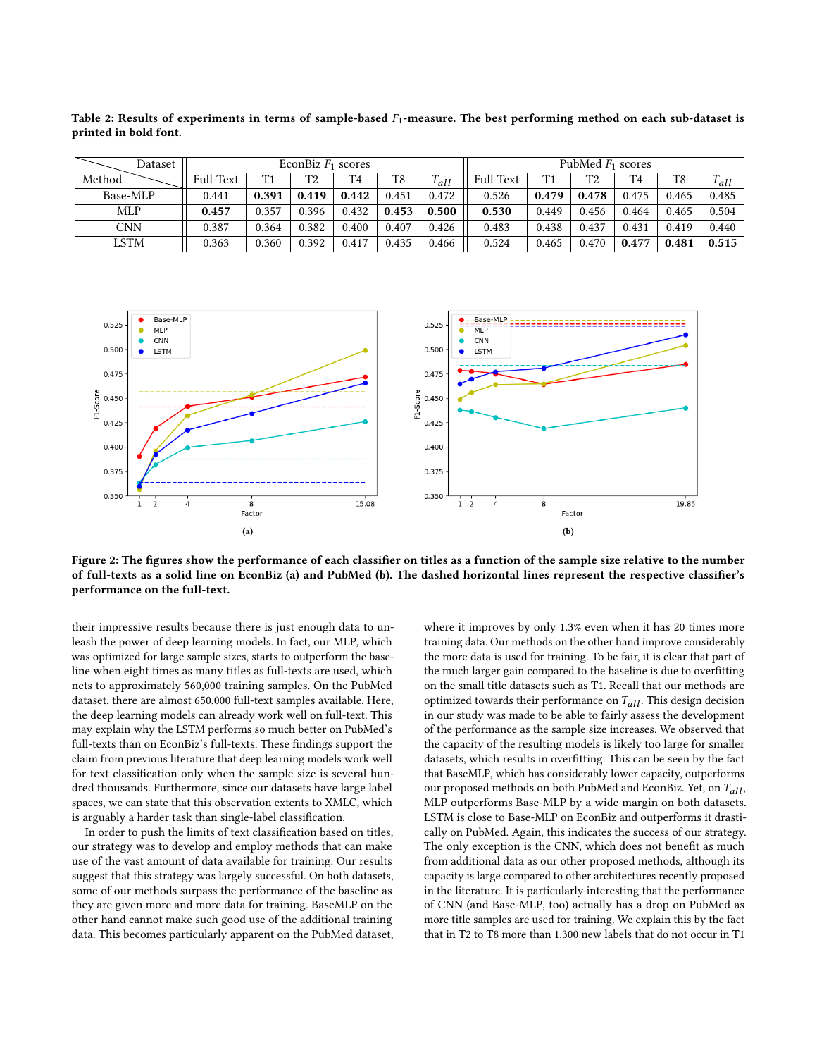| Dataset    | EconBiz $F_1$ scores |                |                |       |       | PubMed $F_1$ scores |           |       |                |                |       |         |
|------------|----------------------|----------------|----------------|-------|-------|---------------------|-----------|-------|----------------|----------------|-------|---------|
| Method     | Full-Text            | T <sub>1</sub> | T <sub>2</sub> | T4    | T8    | $l$ all             | Full-Text |       | T <sub>2</sub> | T <sub>4</sub> | T8    | $l$ all |
| Base-MLP   | 0.441                | 0.391          | 0.419          | 0.442 | 0.451 | 0.472               | 0.526     | 0.479 | 0.478          | 0.475          | 0.465 | 0.485   |
| MLP        | 0.457                | 0.357          | 0.396          | 0.432 | 0.453 | 0.500               | 0.530     | 0.449 | 0.456          | 0.464          | 0.465 | 0.504   |
| <b>CNN</b> | 0.387                | 0.364          | 0.382          | 0.400 | 0.407 | 0.426               | 0.483     | 0.438 | 0.437          | 0.431          | 0.419 | 0.440   |
| LSTM       | 0.363                | 0.360          | 0.392          | 0.417 | 0.435 | 0.466               | 0.524     | 0.465 | 0.470          | 0.477          | 0.481 | 0.515   |

<span id="page-7-0"></span>Table 2: Results of experiments in terms of sample-based  $F_1$ -measure. The best performing method on each sub-dataset is printed in bold font.

<span id="page-7-1"></span>

Figure 2: The figures show the performance of each classifier on titles as a function of the sample size relative to the number of full-texts as a solid line on EconBiz (a) and PubMed (b). The dashed horizontal lines represent the respective classifier's performance on the full-text.

their impressive results because there is just enough data to unleash the power of deep learning models. In fact, our MLP, which was optimized for large sample sizes, starts to outperform the baseline when eight times as many titles as full-texts are used, which nets to approximately 560,000 training samples. On the PubMed dataset, there are almost 650,000 full-text samples available. Here, the deep learning models can already work well on full-text. This may explain why the LSTM performs so much better on PubMed's full-texts than on EconBiz's full-texts. These findings support the claim from previous literature that deep learning models work well for text classification only when the sample size is several hundred thousands. Furthermore, since our datasets have large label spaces, we can state that this observation extents to XMLC, which is arguably a harder task than single-label classification.

In order to push the limits of text classification based on titles, our strategy was to develop and employ methods that can make use of the vast amount of data available for training. Our results suggest that this strategy was largely successful. On both datasets, some of our methods surpass the performance of the baseline as they are given more and more data for training. BaseMLP on the other hand cannot make such good use of the additional training data. This becomes particularly apparent on the PubMed dataset, where it improves by only 1.3% even when it has 20 times more training data. Our methods on the other hand improve considerably the more data is used for training. To be fair, it is clear that part of the much larger gain compared to the baseline is due to overfitting on the small title datasets such as T1. Recall that our methods are optimized towards their performance on  $T_{all}$ . This design decision in our study was made to be able to fairly assess the development of the performance as the sample size increases. We observed that the capacity of the resulting models is likely too large for smaller datasets, which results in overfitting. This can be seen by the fact that BaseMLP, which has considerably lower capacity, outperforms our proposed methods on both PubMed and EconBiz. Yet, on  $T_{all}$ , MLP outperforms Base-MLP by a wide margin on both datasets. LSTM is close to Base-MLP on EconBiz and outperforms it drastically on PubMed. Again, this indicates the success of our strategy. The only exception is the CNN, which does not benefit as much from additional data as our other proposed methods, although its capacity is large compared to other architectures recently proposed in the literature. It is particularly interesting that the performance of CNN (and Base-MLP, too) actually has a drop on PubMed as more title samples are used for training. We explain this by the fact that in T2 to T8 more than 1,300 new labels that do not occur in T1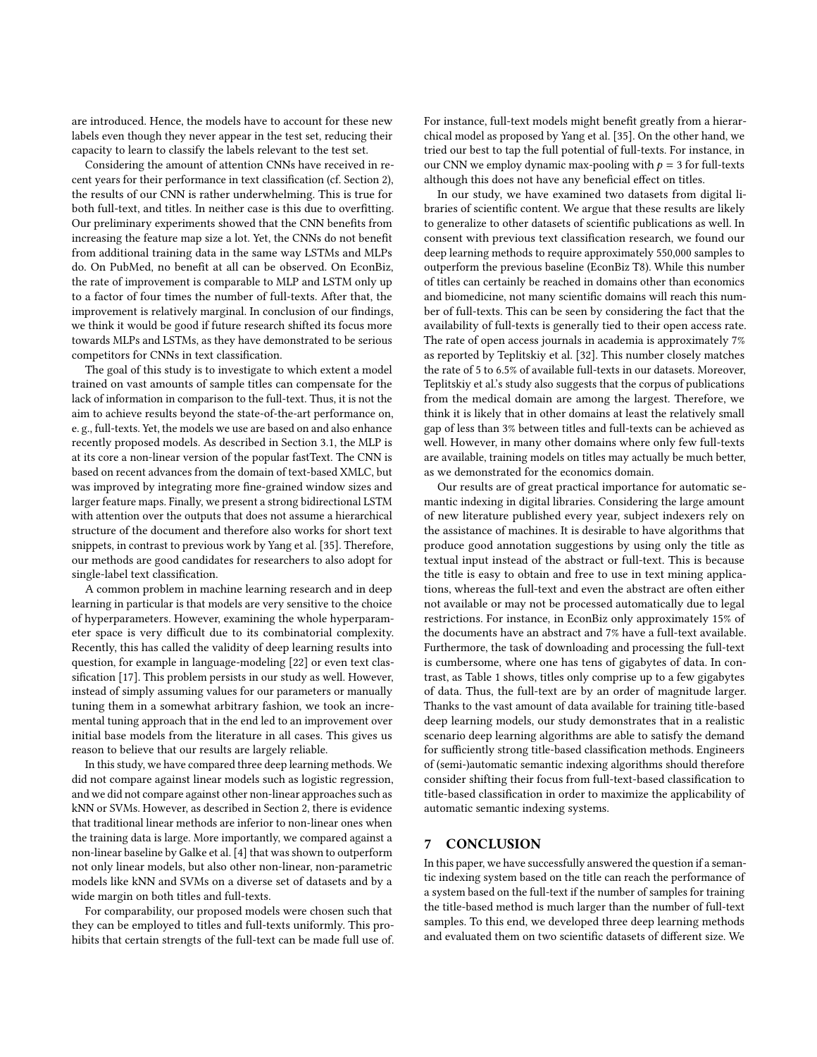are introduced. Hence, the models have to account for these new labels even though they never appear in the test set, reducing their capacity to learn to classify the labels relevant to the test set.

Considering the amount of attention CNNs have received in recent years for their performance in text classification (cf. Section [2\)](#page-1-0), the results of our CNN is rather underwhelming. This is true for both full-text, and titles. In neither case is this due to overfitting. Our preliminary experiments showed that the CNN benefits from increasing the feature map size a lot. Yet, the CNNs do not benefit from additional training data in the same way LSTMs and MLPs do. On PubMed, no benefit at all can be observed. On EconBiz, the rate of improvement is comparable to MLP and LSTM only up to a factor of four times the number of full-texts. After that, the improvement is relatively marginal. In conclusion of our findings, we think it would be good if future research shifted its focus more towards MLPs and LSTMs, as they have demonstrated to be serious competitors for CNNs in text classification.

The goal of this study is to investigate to which extent a model trained on vast amounts of sample titles can compensate for the lack of information in comparison to the full-text. Thus, it is not the aim to achieve results beyond the state-of-the-art performance on, e. g., full-texts. Yet, the models we use are based on and also enhance recently proposed models. As described in Section [3.1,](#page-2-2) the MLP is at its core a non-linear version of the popular fastText. The CNN is based on recent advances from the domain of text-based XMLC, but was improved by integrating more fine-grained window sizes and larger feature maps. Finally, we present a strong bidirectional LSTM with attention over the outputs that does not assume a hierarchical structure of the document and therefore also works for short text snippets, in contrast to previous work by Yang et al. [\[35\]](#page-9-28). Therefore, our methods are good candidates for researchers to also adopt for single-label text classification.

A common problem in machine learning research and in deep learning in particular is that models are very sensitive to the choice of hyperparameters. However, examining the whole hyperparameter space is very difficult due to its combinatorial complexity. Recently, this has called the validity of deep learning results into question, for example in language-modeling [\[22\]](#page-9-42) or even text classification [\[17\]](#page-9-8). This problem persists in our study as well. However, instead of simply assuming values for our parameters or manually tuning them in a somewhat arbitrary fashion, we took an incremental tuning approach that in the end led to an improvement over initial base models from the literature in all cases. This gives us reason to believe that our results are largely reliable.

In this study, we have compared three deep learning methods. We did not compare against linear models such as logistic regression, and we did not compare against other non-linear approaches such as kNN or SVMs. However, as described in Section [2,](#page-1-0) there is evidence that traditional linear methods are inferior to non-linear ones when the training data is large. More importantly, we compared against a non-linear baseline by Galke et al. [\[4\]](#page-9-1) that was shown to outperform not only linear models, but also other non-linear, non-parametric models like kNN and SVMs on a diverse set of datasets and by a wide margin on both titles and full-texts.

For comparability, our proposed models were chosen such that they can be employed to titles and full-texts uniformly. This prohibits that certain strengts of the full-text can be made full use of. For instance, full-text models might benefit greatly from a hierarchical model as proposed by Yang et al. [\[35\]](#page-9-28). On the other hand, we tried our best to tap the full potential of full-texts. For instance, in our CNN we employ dynamic max-pooling with  $p = 3$  for full-texts although this does not have any beneficial effect on titles.

In our study, we have examined two datasets from digital libraries of scientific content. We argue that these results are likely to generalize to other datasets of scientific publications as well. In consent with previous text classification research, we found our deep learning methods to require approximately 550,000 samples to outperform the previous baseline (EconBiz T8). While this number of titles can certainly be reached in domains other than economics and biomedicine, not many scientific domains will reach this number of full-texts. This can be seen by considering the fact that the availability of full-texts is generally tied to their open access rate. The rate of open access journals in academia is approximately 7% as reported by Teplitskiy et al. [\[32\]](#page-9-43). This number closely matches the rate of 5 to 6.5% of available full-texts in our datasets. Moreover, Teplitskiy et al.'s study also suggests that the corpus of publications from the medical domain are among the largest. Therefore, we think it is likely that in other domains at least the relatively small gap of less than 3% between titles and full-texts can be achieved as well. However, in many other domains where only few full-texts are available, training models on titles may actually be much better, as we demonstrated for the economics domain.

Our results are of great practical importance for automatic semantic indexing in digital libraries. Considering the large amount of new literature published every year, subject indexers rely on the assistance of machines. It is desirable to have algorithms that produce good annotation suggestions by using only the title as textual input instead of the abstract or full-text. This is because the title is easy to obtain and free to use in text mining applications, whereas the full-text and even the abstract are often either not available or may not be processed automatically due to legal restrictions. For instance, in EconBiz only approximately 15% of the documents have an abstract and 7% have a full-text available. Furthermore, the task of downloading and processing the full-text is cumbersome, where one has tens of gigabytes of data. In contrast, as Table [1](#page-4-6) shows, titles only comprise up to a few gigabytes of data. Thus, the full-text are by an order of magnitude larger. Thanks to the vast amount of data available for training title-based deep learning models, our study demonstrates that in a realistic scenario deep learning algorithms are able to satisfy the demand for sufficiently strong title-based classification methods. Engineers of (semi-)automatic semantic indexing algorithms should therefore consider shifting their focus from full-text-based classification to title-based classification in order to maximize the applicability of automatic semantic indexing systems.

# 7 CONCLUSION

In this paper, we have successfully answered the question if a semantic indexing system based on the title can reach the performance of a system based on the full-text if the number of samples for training the title-based method is much larger than the number of full-text samples. To this end, we developed three deep learning methods and evaluated them on two scientific datasets of different size. We